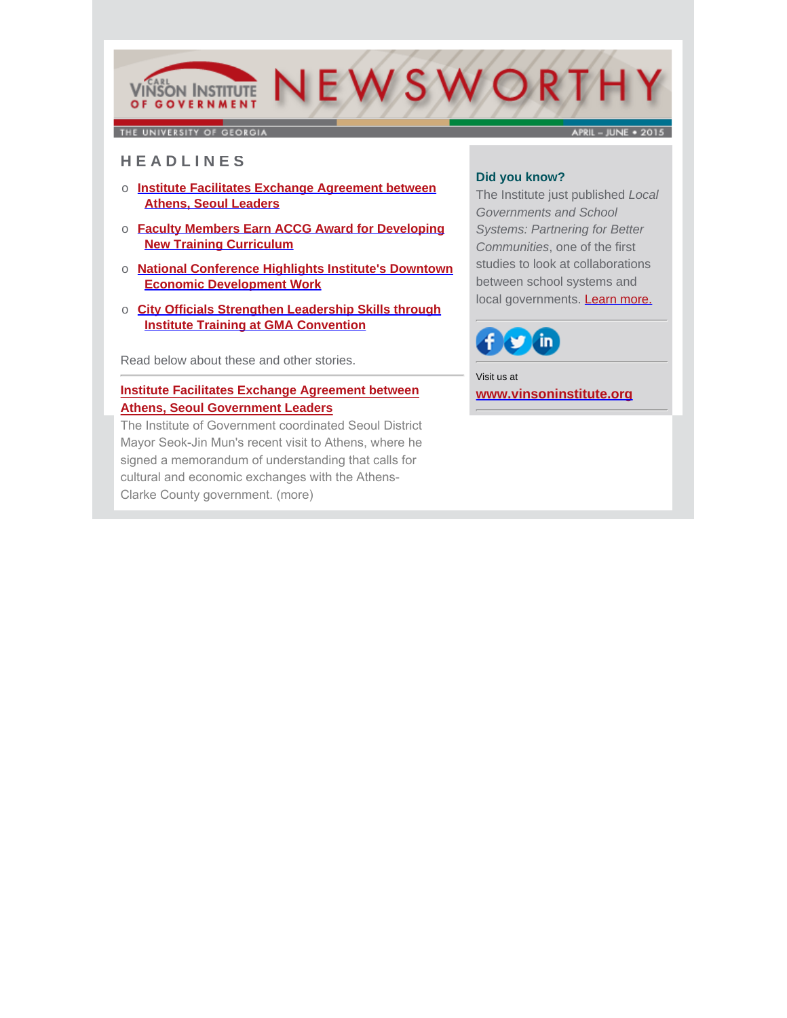# VIÑSON INSTITUTE NEWSWORTH OF GOVERNMENT

THE UNIVERSITY OF GEORGIA

**APRIL - IUNE + 2015** 

## **H E A D L I N E S**

- o **Institute Facilitates Exchange Agreement between Athens, Seoul Leaders**
- o **Faculty Members Earn ACCG Award for Developing New Training Curriculum**
- o **National Conference Highlights Institute's Downtown Economic Development Work**
- o **City Officials Strengthen Leadership Skills through Institute Training at GMA Convention**

Read below about these and other stories.

## **Institute Facilitates Exchange Agreement between Athens, Seoul Government Leaders**

The Institute of Government coordinated Seoul District [Mayor Seok-Jin Mun's recent visit to Athens, where he](http://www.cviog.uga.edu/news/spotlights/061215-seoul.html)  signed a memorandum of understanding that calls for cultural and economic exchanges with the Athens-Clarke County government. (more)

## **Did you know?**

The Institute just published *Local Governments and School Systems: Partnering for Better Communities*, one of the first studies to look at collaborations between school systems and local governments. [Learn more.](http://www.cviog.uga.edu/publications/collaborative-governance-study.html)



Visit us at **[www.vinsoninstitute.org](http://www.cviog.uga.edu)**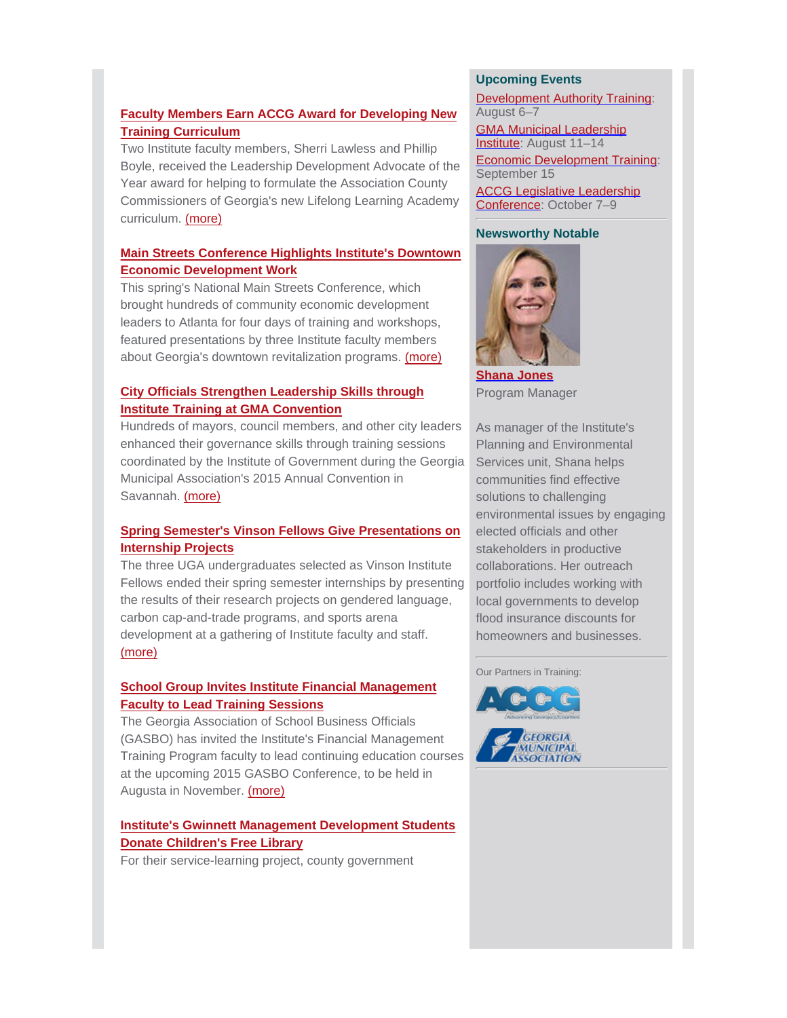## **Faculty Members Earn ACCG Award for Developing New Training Curriculum**

Two Institute faculty members, Sherri Lawless and Phillip [Boyle, received the Leadership Development Advocate of the](http://www.cviog.uga.edu/news/spotlights/060815-accg.html) Year award for helping to formulate the Association County Commissioners of Georgia's new Lifelong Learning Academy curriculum. (more)

## **[Main Streets Conference Highlights Institute's Downtown](http://www.cviog.uga.edu/news/spotlights/040815-main-street.html) Economic Development Work**

This spring's National Main Streets Conference, which brought hundreds of community economic development leaders to Atlanta for four days of training and workshops, featured presentations by three Institute faculty members about Georgia's downtown revitalization programs. (more)

## **City Officials Strengthen Leadership Skills through Institute Training at GMA Convention**

[Hundreds of mayors, council members, and other city leaders](http://www.cviog.uga.edu/news/spotlights/063015-gma-convention.html) enhanced their governance skills through training sessions coordinated by the Institute of Government during the Georgia Municipal Association's 2015 Annual Convention in Savannah. (more)

# **[Spring Semester's Vinson Fellows Give Presentations on](http://www.cviog.uga.edu/news/spotlights/051915-vinson-fellows.html) Internship Projects**

The three UGA undergraduates selected as Vinson Institute Fellows ended their spring semester internships by presenting the results of their research projects on gendered language, carbon cap-and-trade programs, and sports arena development at a gathering of Institute faculty and staff. (more)

## **School Group Invites Institute Financial Management Faculty to Lead Training Sessions**

The Georgia Association of School Business Officials [\(GASBO\) has invited the Institute's Financial Management](http://outreach.uga.edu/gasbo-invites-institute-of-government-financial-management-faculty-to-lead-training-sessions/) Training Program faculty to lead continuing education courses at the upcoming 2015 GASBO Conference, to be held in Augusta in November. (more)

# **[Institute's Gwinnett Management Development Students](http://www.cviog.uga.edu/news/spotlights/062915-mdp-library.html) Donate Children's Free Library**

For their service-learning project, county government

## **Upcoming Events**

**Development Authority Training:** August 6–7

**GMA Municipal Leadership** Institute: August 11-14

Economic Development Training: September 15

**ACCG Legislative Leadership** Conference: October 7–9

#### **Newsworthy Notable**



**[Shana Jones](http://www.cviog.uga.edu/about-us/faculty-staff/shana-jones.html)** Program Manager

As manager of the Institute's Planning and Environmental Services unit, Shana helps communities find effective solutions to challenging environmental issues by engaging elected officials and other stakeholders in productive collaborations. Her outreach portfolio includes working with local governments to develop flood insurance discounts for homeowners and businesses.

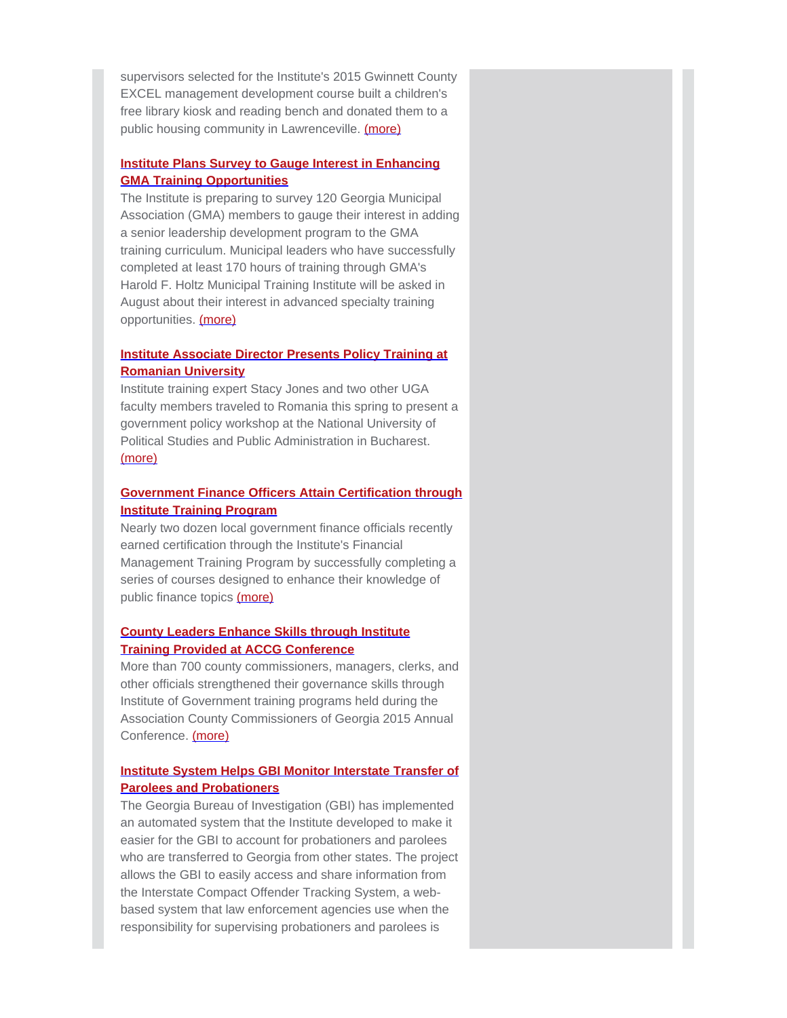[supervisors selected for the Institute's 2015 Gwinnett County](http://www.cviog.uga.edu/news/spotlights/062915-mdp-library.html) EXCEL management development course built a children's free library kiosk and reading bench and donated them to a public housing community in Lawrenceville. (more)

#### **Institute Plans Survey to Gauge Interest in Enhancing GMA Training Opportunities**

The Institute is preparing to survey 120 Georgia Municipal [Association \(GMA\) members to gauge their interest in adding](http://www.gmanet.com/Training-Events/Training-Program.aspx) a senior leadership development program to the GMA training curriculum. Municipal leaders who have successfully completed at least 170 hours of training through GMA's Harold F. Holtz Municipal Training Institute will be asked in August about their interest in advanced specialty training opportunities. (more)

## **Institute Associate Director Presents Policy Training at Romanian University**

Institute training expert Stacy Jones and two other UGA [faculty members traveled to Romania this spring to present a](http://www.cviog.uga.edu/news/spotlights/061015-romanian-university.html) government policy workshop at the National University of Political Studies and Public Administration in Bucharest. (more)

#### **[Government Finance Officers Attain Certification through](http://www.cviog.uga.edu/news/spotlights/051315-finance-officer.html) Institute Training Program**

Nearly two dozen local government finance officials recently earned certification through the Institute's Financial Management Training Program by successfully completing a series of courses designed to enhance their knowledge of public finance topics (more)

## **County Leaders Enhance Skills through Institute Training Provided at ACCG Conference**

[More than 700 county commissioners, managers, clerks, and](http://www.cviog.uga.edu/news/spotlights/050115-accg.html) other officials strengthened their governance skills through Institute of Government training programs held during the Association County Commissioners of Georgia 2015 Annual Conference. (more)

## **[Institute System Helps GBI Monitor Interstate Transfer of](http://www.interstatecompact.org/ICOTS/WhatisICOTS.aspx) Parolees and Probationers**

The Georgia Bureau of Investigation (GBI) has implemented an automated system that the Institute developed to make it easier for the GBI to account for probationers and parolees who are transferred to Georgia from other states. The project allows the GBI to easily access and share information from the Interstate Compact Offender Tracking System, a webbased system that law enforcement agencies use when the responsibility for supervising probationers and parolees is